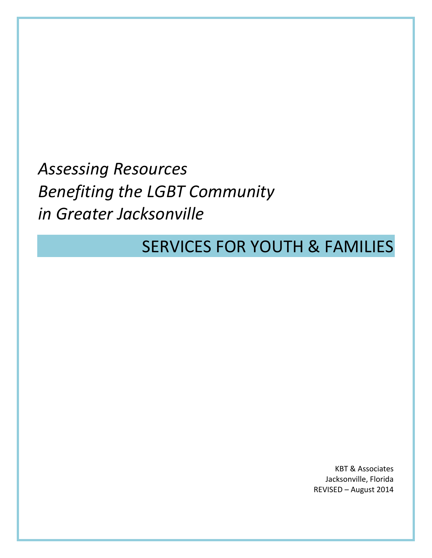*Assessing Resources Benefiting the LGBT Community in Greater Jacksonville*

# SERVICES FOR YOUTH & FAMILIES

KBT & Associates Jacksonville, Florida REVISED – August 2014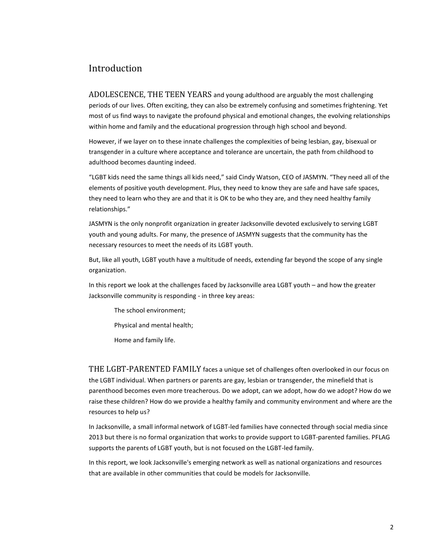# Introduction

ADOLESCENCE, THE TEEN YEARS and young adulthood are arguably the most challenging periods of our lives. Often exciting, they can also be extremely confusing and sometimes frightening. Yet most of us find ways to navigate the profound physical and emotional changes, the evolving relationships within home and family and the educational progression through high school and beyond.

However, if we layer on to these innate challenges the complexities of being lesbian, gay, bisexual or transgender in a culture where acceptance and tolerance are uncertain, the path from childhood to adulthood becomes daunting indeed.

"LGBT kids need the same things all kids need," said Cindy Watson, CEO of JASMYN. "They need all of the elements of positive youth development. Plus, they need to know they are safe and have safe spaces, they need to learn who they are and that it is OK to be who they are, and they need healthy family relationships."

JASMYN is the only nonprofit organization in greater Jacksonville devoted exclusively to serving LGBT youth and young adults. For many, the presence of JASMYN suggests that the community has the necessary resources to meet the needs of its LGBT youth.

But, like all youth, LGBT youth have a multitude of needs, extending far beyond the scope of any single organization.

In this report we look at the challenges faced by Jacksonville area LGBT youth – and how the greater Jacksonville community is responding - in three key areas:

The school environment;

Physical and mental health;

Home and family life.

THE LGBT-PARENTED FAMILY faces a unique set of challenges often overlooked in our focus on the LGBT individual. When partners or parents are gay, lesbian or transgender, the minefield that is parenthood becomes even more treacherous. Do we adopt, can we adopt, how do we adopt? How do we raise these children? How do we provide a healthy family and community environment and where are the resources to help us?

In Jacksonville, a small informal network of LGBT-led families have connected through social media since 2013 but there is no formal organization that works to provide support to LGBT-parented families. PFLAG supports the parents of LGBT youth, but is not focused on the LGBT-led family.

In this report, we look Jacksonville's emerging network as well as national organizations and resources that are available in other communities that could be models for Jacksonville.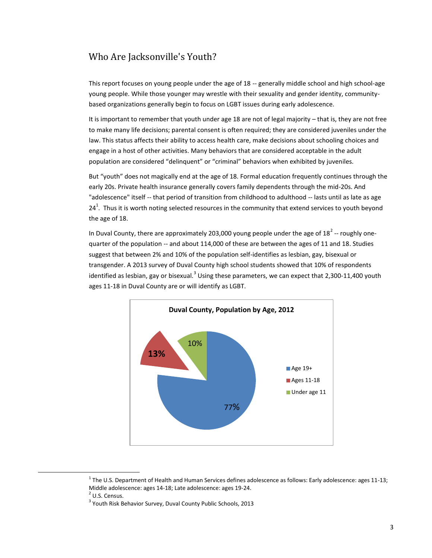# Who Are Jacksonville's Youth?

This report focuses on young people under the age of 18 -- generally middle school and high school-age young people. While those younger may wrestle with their sexuality and gender identity, communitybased organizations generally begin to focus on LGBT issues during early adolescence.

It is important to remember that youth under age 18 are not of legal majority – that is, they are not free to make many life decisions; parental consent is often required; they are considered juveniles under the law. This status affects their ability to access health care, make decisions about schooling choices and engage in a host of other activities. Many behaviors that are considered acceptable in the adult population are considered "delinquent" or "criminal" behaviors when exhibited by juveniles.

But "youth" does not magically end at the age of 18. Formal education frequently continues through the early 20s. Private health insurance generally covers family dependents through the mid-20s. And "adolescence" itself -- that period of transition from childhood to adulthood -- lasts until as late as age 24<sup>1</sup>. Thus it is worth noting selected resources in the community that extend services to youth beyond the age of 18.

In Duval County, there are approximately 203,000 young people under the age of 18<sup>2</sup> -- roughly onequarter of the population -- and about 114,000 of these are between the ages of 11 and 18. Studies suggest that between 2% and 10% of the population self-identifies as lesbian, gay, bisexual or transgender. A 2013 survey of Duval County high school students showed that 10% of respondents identified as lesbian, gay or bisexual.<sup>3</sup> Using these parameters, we can expect that 2,300-11,400 youth ages 11-18 in Duval County are or will identify as LGBT.



 $^1$  The U.S. Department of Health and Human Services defines adolescence as follows: Early adolescence: ages 11-13; Middle adolescence: ages 14-18; Late adolescence: ages 19-24.

 $\overline{a}$ 

<sup>&</sup>lt;sup>2</sup> U.S. Census.

<sup>&</sup>lt;sup>3</sup> Youth Risk Behavior Survey, Duval County Public Schools, 2013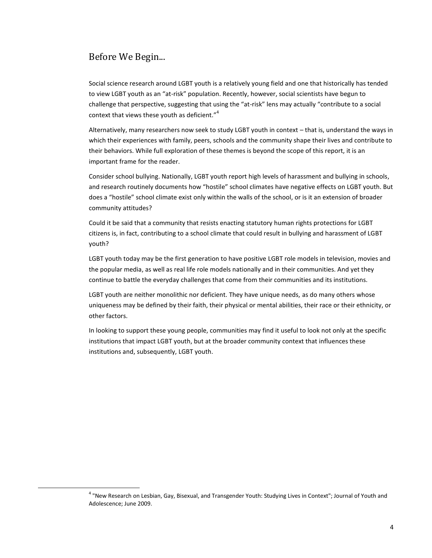# Before We Begin...

 $\overline{a}$ 

Social science research around LGBT youth is a relatively young field and one that historically has tended to view LGBT youth as an "at-risk" population. Recently, however, social scientists have begun to challenge that perspective, suggesting that using the "at-risk" lens may actually "contribute to a social context that views these youth as deficient."<sup>4</sup>

Alternatively, many researchers now seek to study LGBT youth in context – that is, understand the ways in which their experiences with family, peers, schools and the community shape their lives and contribute to their behaviors. While full exploration of these themes is beyond the scope of this report, it is an important frame for the reader.

Consider school bullying. Nationally, LGBT youth report high levels of harassment and bullying in schools, and research routinely documents how "hostile" school climates have negative effects on LGBT youth. But does a "hostile" school climate exist only within the walls of the school, or is it an extension of broader community attitudes?

Could it be said that a community that resists enacting statutory human rights protections for LGBT citizens is, in fact, contributing to a school climate that could result in bullying and harassment of LGBT youth?

LGBT youth today may be the first generation to have positive LGBT role models in television, movies and the popular media, as well as real life role models nationally and in their communities. And yet they continue to battle the everyday challenges that come from their communities and its institutions.

LGBT youth are neither monolithic nor deficient. They have unique needs, as do many others whose uniqueness may be defined by their faith, their physical or mental abilities, their race or their ethnicity, or other factors.

In looking to support these young people, communities may find it useful to look not only at the specific institutions that impact LGBT youth, but at the broader community context that influences these institutions and, subsequently, LGBT youth.

<sup>&</sup>lt;sup>4</sup> "New Research on Lesbian, Gay, Bisexual, and Transgender Youth: Studying Lives in Context"; Journal of Youth and Adolescence; June 2009.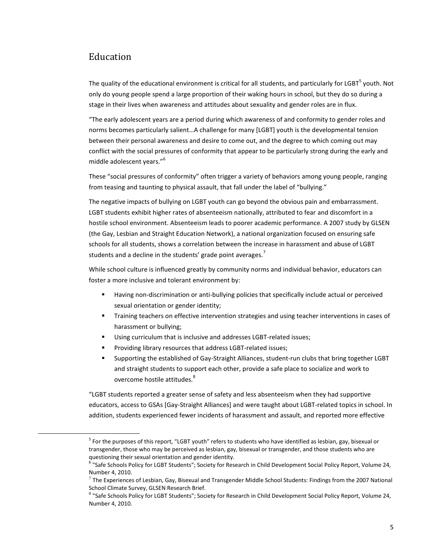# Education

 $\overline{a}$ 

The quality of the educational environment is critical for all students, and particularly for LGBT<sup>5</sup> youth. Not only do young people spend a large proportion of their waking hours in school, but they do so during a stage in their lives when awareness and attitudes about sexuality and gender roles are in flux.

"The early adolescent years are a period during which awareness of and conformity to gender roles and norms becomes particularly salient…A challenge for many [LGBT] youth is the developmental tension between their personal awareness and desire to come out, and the degree to which coming out may conflict with the social pressures of conformity that appear to be particularly strong during the early and middle adolescent vears."<sup>6</sup>

These "social pressures of conformity" often trigger a variety of behaviors among young people, ranging from teasing and taunting to physical assault, that fall under the label of "bullying."

The negative impacts of bullying on LGBT youth can go beyond the obvious pain and embarrassment. LGBT students exhibit higher rates of absenteeism nationally, attributed to fear and discomfort in a hostile school environment. Absenteeism leads to poorer academic performance. A 2007 study by GLSEN (the Gay, Lesbian and Straight Education Network), a national organization focused on ensuring safe schools for all students, shows a correlation between the increase in harassment and abuse of LGBT students and a decline in the students' grade point averages.<sup>7</sup>

While school culture is influenced greatly by community norms and individual behavior, educators can foster a more inclusive and tolerant environment by:

- Having non-discrimination or anti-bullying policies that specifically include actual or perceived sexual orientation or gender identity;
- Training teachers on effective intervention strategies and using teacher interventions in cases of harassment or bullying;
- Using curriculum that is inclusive and addresses LGBT-related issues;
- **Providing library resources that address LGBT-related issues;**
- Supporting the established of Gay-Straight Alliances, student-run clubs that bring together LGBT and straight students to support each other, provide a safe place to socialize and work to overcome hostile attitudes.<sup>8</sup>

"LGBT students reported a greater sense of safety and less absenteeism when they had supportive educators, access to GSAs [Gay-Straight Alliances] and were taught about LGBT-related topics in school. In addition, students experienced fewer incidents of harassment and assault, and reported more effective

<sup>&</sup>lt;sup>5</sup> For the purposes of this report, "LGBT youth" refers to students who have identified as lesbian, gay, bisexual or transgender, those who may be perceived as lesbian, gay, bisexual or transgender, and those students who are questioning their sexual orientation and gender identity.

<sup>&</sup>lt;sup>6</sup> "Safe Schools Policy for LGBT Students"; Society for Research in Child Development Social Policy Report, Volume 24, Number 4, 2010.

 $^7$  The Experiences of Lesbian, Gay, Bisexual and Transgender Middle School Students: Findings from the 2007 National School Climate Survey, GLSEN Research Brief.

<sup>&</sup>lt;sup>8</sup> "Safe Schools Policy for LGBT Students"; Society for Research in Child Development Social Policy Report, Volume 24, Number 4, 2010.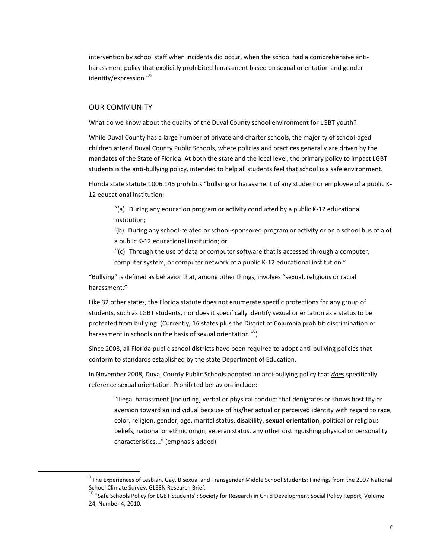intervention by school staff when incidents did occur, when the school had a comprehensive antiharassment policy that explicitly prohibited harassment based on sexual orientation and gender identity/expression."<sup>9</sup>

## OUR COMMUNITY

 $\overline{a}$ 

What do we know about the quality of the Duval County school environment for LGBT youth?

While Duval County has a large number of private and charter schools, the majority of school-aged children attend Duval County Public Schools, where policies and practices generally are driven by the mandates of the State of Florida. At both the state and the local level, the primary policy to impact LGBT students is the anti-bullying policy, intended to help all students feel that school is a safe environment.

Florida state statute 1006.146 prohibits "bullying or harassment of any student or employee of a public K-12 educational institution:

"(a) During any education program or activity conducted by a public K-12 educational institution;

'(b) During any school-related or school-sponsored program or activity or on a school bus of a of a public K-12 educational institution; or

''(c) Through the use of data or computer software that is accessed through a computer, computer system, or computer network of a public K-12 educational institution."

"Bullying" is defined as behavior that, among other things, involves "sexual, religious or racial harassment."

Like 32 other states, the Florida statute does not enumerate specific protections for any group of students, such as LGBT students, nor does it specifically identify sexual orientation as a status to be protected from bullying. (Currently, 16 states plus the District of Columbia prohibit discrimination or harassment in schools on the basis of sexual orientation.<sup>10</sup>)

Since 2008, all Florida public school districts have been required to adopt anti-bullying policies that conform to standards established by the state Department of Education.

In November 2008, Duval County Public Schools adopted an anti-bullying policy that *does* specifically reference sexual orientation. Prohibited behaviors include:

"Illegal harassment [including] verbal or physical conduct that denigrates or shows hostility or aversion toward an individual because of his/her actual or perceived identity with regard to race, color, religion, gender, age, marital status, disability, **sexual orientation**, political or religious beliefs, national or ethnic origin, veteran status, any other distinguishing physical or personality characteristics..." (emphasis added)

<sup>&</sup>lt;sup>9</sup> The Experiences of Lesbian, Gay, Bisexual and Transgender Middle School Students: Findings from the 2007 National School Climate Survey, GLSEN Research Brief.

 $^{10}$  "Safe Schools Policy for LGBT Students"; Society for Research in Child Development Social Policy Report, Volume 24, Number 4, 2010.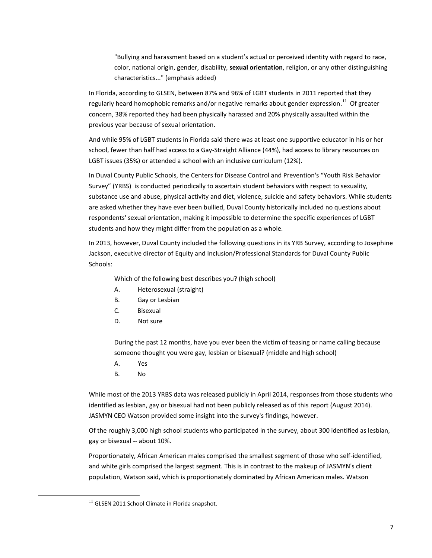"Bullying and harassment based on a student's actual or perceived identity with regard to race, color, national origin, gender, disability, **sexual orientation**, religion, or any other distinguishing characteristics..." (emphasis added)

In Florida, according to GLSEN, between 87% and 96% of LGBT students in 2011 reported that they regularly heard homophobic remarks and/or negative remarks about gender expression.<sup>11</sup> Of greater concern, 38% reported they had been physically harassed and 20% physically assaulted within the previous year because of sexual orientation.

And while 95% of LGBT students in Florida said there was at least one supportive educator in his or her school, fewer than half had access to a Gay-Straight Alliance (44%), had access to library resources on LGBT issues (35%) or attended a school with an inclusive curriculum (12%).

In Duval County Public Schools, the Centers for Disease Control and Prevention's "Youth Risk Behavior Survey" (YRBS) is conducted periodically to ascertain student behaviors with respect to sexuality, substance use and abuse, physical activity and diet, violence, suicide and safety behaviors. While students are asked whether they have ever been bullied, Duval County historically included no questions about respondents' sexual orientation, making it impossible to determine the specific experiences of LGBT students and how they might differ from the population as a whole.

In 2013, however, Duval County included the following questions in its YRB Survey, according to Josephine Jackson, executive director of Equity and Inclusion/Professional Standards for Duval County Public Schools:

Which of the following best describes you? (high school)

- A. Heterosexual (straight)
- B. Gay or Lesbian
- C. Bisexual
- D. Not sure

During the past 12 months, have you ever been the victim of teasing or name calling because someone thought you were gay, lesbian or bisexual? (middle and high school)

- A. Yes
- B. No

 $\overline{a}$ 

While most of the 2013 YRBS data was released publicly in April 2014, responses from those students who identified as lesbian, gay or bisexual had not been publicly released as of this report (August 2014). JASMYN CEO Watson provided some insight into the survey's findings, however.

Of the roughly 3,000 high school students who participated in the survey, about 300 identified as lesbian, gay or bisexual -- about 10%.

Proportionately, African American males comprised the smallest segment of those who self-identified, and white girls comprised the largest segment. This is in contrast to the makeup of JASMYN's client population, Watson said, which is proportionately dominated by African American males. Watson

 $11$  GLSEN 2011 School Climate in Florida snapshot.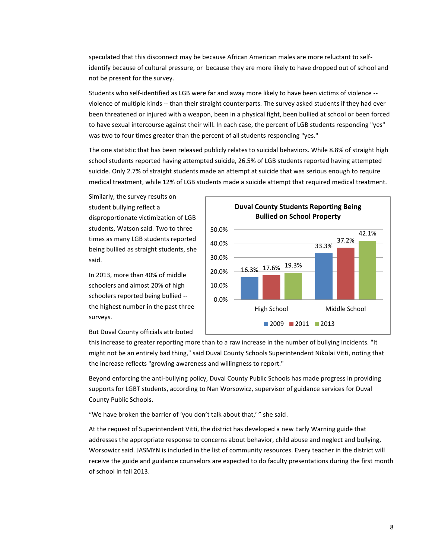speculated that this disconnect may be because African American males are more reluctant to selfidentify because of cultural pressure, or because they are more likely to have dropped out of school and not be present for the survey.

Students who self-identified as LGB were far and away more likely to have been victims of violence - violence of multiple kinds -- than their straight counterparts. The survey asked students if they had ever been threatened or injured with a weapon, been in a physical fight, been bullied at school or been forced to have sexual intercourse against their will. In each case, the percent of LGB students responding "yes" was two to four times greater than the percent of all students responding "yes."

The one statistic that has been released publicly relates to suicidal behaviors. While 8.8% of straight high school students reported having attempted suicide, 26.5% of LGB students reported having attempted suicide. Only 2.7% of straight students made an attempt at suicide that was serious enough to require medical treatment, while 12% of LGB students made a suicide attempt that required medical treatment.

Similarly, the survey results on student bullying reflect a disproportionate victimization of LGB students, Watson said. Two to three times as many LGB students reported being bullied as straight students, she said.

In 2013, more than 40% of middle schoolers and almost 20% of high schoolers reported being bullied - the highest number in the past three surveys.



But Duval County officials attributed

this increase to greater reporting more than to a raw increase in the number of bullying incidents. "It might not be an entirely bad thing," said Duval County Schools Superintendent Nikolai Vitti, noting that the increase reflects "growing awareness and willingness to report."

Beyond enforcing the anti-bullying policy, Duval County Public Schools has made progress in providing supports for LGBT students, according to Nan Worsowicz, supervisor of guidance services for Duval County Public Schools.

"We have broken the barrier of 'you don't talk about that,' " she said.

At the request of Superintendent Vitti, the district has developed a new Early Warning guide that addresses the appropriate response to concerns about behavior, child abuse and neglect and bullying, Worsowicz said. JASMYN is included in the list of community resources. Every teacher in the district will receive the guide and guidance counselors are expected to do faculty presentations during the first month of school in fall 2013.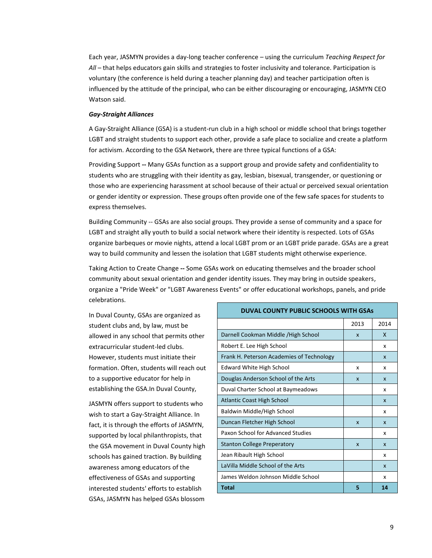Each year, JASMYN provides a day-long teacher conference – using the curriculum *Teaching Respect for All* – that helps educators gain skills and strategies to foster inclusivity and tolerance. Participation is voluntary (the conference is held during a teacher planning day) and teacher participation often is influenced by the attitude of the principal, who can be either discouraging or encouraging, JASMYN CEO Watson said.

## *Gay-Straight Alliances*

A Gay-Straight Alliance (GSA) is a student-run club in a high school or middle school that brings together LGBT and straight students to support each other, provide a safe place to socialize and create a platform for activism. According to the GSA Network, there are three typical functions of a GSA:

Providing Support **--** Many GSAs function as a support group and provide safety and confidentiality to students who are struggling with their identity as gay, lesbian, bisexual, transgender, or questioning or those who are experiencing harassment at school because of their actual or perceived sexual orientation or gender identity or expression. These groups often provide one of the few safe spaces for students to express themselves.

Building Community -- GSAs are also social groups. They provide a sense of community and a space for LGBT and straight ally youth to build a social network where their identity is respected. Lots of GSAs organize barbeques or movie nights, attend a local LGBT prom or an LGBT pride parade. GSAs are a great way to build community and lessen the isolation that LGBT students might otherwise experience.

Taking Action to Create Change **--** Some GSAs work on educating themselves and the broader school community about sexual orientation and gender identity issues. They may bring in outside speakers, organize a "Pride Week" or "LGBT Awareness Events" or offer educational workshops, panels, and pride celebrations.

In Duval County, GSAs are organized as student clubs and, by law, must be allowed in any school that permits other extracurricular student-led clubs. However, students must initiate their formation. Often, students will reach out to a supportive educator for help in establishing the GSA.In Duval County,

JASMYN offers support to students who wish to start a Gay-Straight Alliance. In fact, it is through the efforts of JASMYN, supported by local philanthropists, that the GSA movement in Duval County high schools has gained traction. By building awareness among educators of the effectiveness of GSAs and supporting interested students' efforts to establish GSAs, JASMYN has helped GSAs blossom

| <b>DUVAL COUNTY PUBLIC SCHOOLS WITH GSAS</b> |                           |              |
|----------------------------------------------|---------------------------|--------------|
|                                              | 2013                      | 2014         |
| Darnell Cookman Middle / High School         | $\boldsymbol{\mathsf{x}}$ | X            |
| Robert E. Lee High School                    |                           | x            |
| Frank H. Peterson Academies of Technology    |                           | X            |
| <b>Edward White High School</b>              | x                         | x            |
| Douglas Anderson School of the Arts          | $\boldsymbol{\mathsf{x}}$ | X            |
| Duval Charter School at Baymeadows           |                           | x            |
| <b>Atlantic Coast High School</b>            |                           | $\mathbf{x}$ |
| Baldwin Middle/High School                   |                           | x            |
| Duncan Fletcher High School                  | $\boldsymbol{\mathsf{x}}$ | X            |
| Paxon School for Advanced Studies            |                           | x            |
| <b>Stanton College Preperatory</b>           | $\boldsymbol{\mathsf{x}}$ | $\mathbf{x}$ |
| Jean Ribault High School                     |                           | x            |
| LaVilla Middle School of the Arts            |                           | $\mathbf{x}$ |
| James Weldon Johnson Middle School           |                           | x            |
| <b>Total</b>                                 | 5                         | 14           |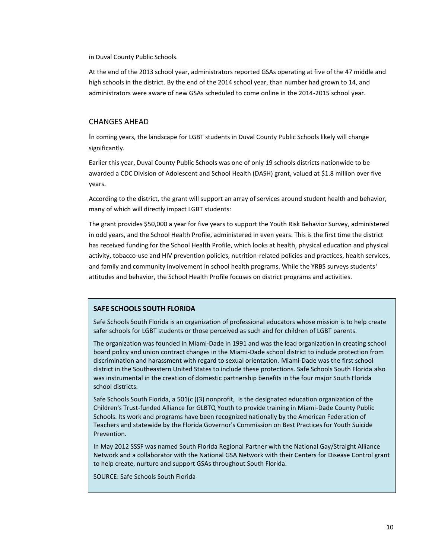in Duval County Public Schools.

At the end of the 2013 school year, administrators reported GSAs operating at five of the 47 middle and high schools in the district. By the end of the 2014 school year, than number had grown to 14, and administrators were aware of new GSAs scheduled to come online in the 2014-2015 school year.

## CHANGES AHEAD

In coming years, the landscape for LGBT students in Duval County Public Schools likely will change significantly.

Earlier this year, Duval County Public Schools was one of only 19 schools districts nationwide to be awarded a CDC Division of Adolescent and School Health (DASH) grant, valued at \$1.8 million over five years.

According to the district, the grant will support an array of services around student health and behavior, many of which will directly impact LGBT students:

The grant provides \$50,000 a year for five years to support the Youth Risk Behavior Survey, administered in odd years, and the School Health Profile, administered in even years. This is the first time the district has received funding for the School Health Profile, which looks at health, physical education and physical activity, tobacco-use and HIV prevention policies, nutrition-related policies and practices, health services, and family and community involvement in school health programs. While the YRBS surveys students' attitudes and behavior, the School Health Profile focuses on district programs and activities.

## **SAFE SCHOOLS SOUTH FLORIDA**

Safe Schools South Florida is an organization of professional educators whose mission is to help create safer schools for LGBT students or those perceived as such and for children of LGBT parents.

The organization was founded in Miami-Dade in 1991 and was the lead organization in creating school board policy and union contract changes in the Miami-Dade school district to include protection from discrimination and harassment with regard to sexual orientation. Miami-Dade was the first school district in the Southeastern United States to include these protections. Safe Schools South Florida also was instrumental in the creation of domestic partnership benefits in the four major South Florida school districts.

Safe Schools South Florida, a 501(c )(3) nonprofit, is the designated education organization of the Children's Trust-funded Alliance for GLBTQ Youth to provide training in Miami-Dade County Public Schools. Its work and programs have been recognized nationally by the American Federation of Teachers and statewide by the Florida Governor's Commission on Best Practices for Youth Suicide Prevention.

In May 2012 SSSF was named South Florida Regional Partner with the National Gay/Straight Alliance Network and a collaborator with the National GSA Network with their Centers for Disease Control grant to help create, nurture and support GSAs throughout South Florida.

SOURCE: Safe Schools South Florida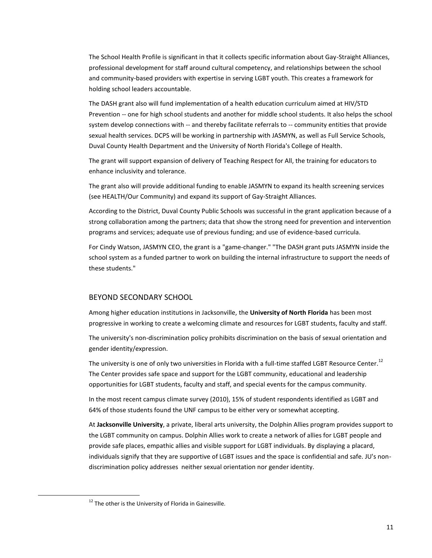The School Health Profile is significant in that it collects specific information about Gay-Straight Alliances, professional development for staff around cultural competency, and relationships between the school and community-based providers with expertise in serving LGBT youth. This creates a framework for holding school leaders accountable.

The DASH grant also will fund implementation of a health education curriculum aimed at HIV/STD Prevention -- one for high school students and another for middle school students. It also helps the school system develop connections with -- and thereby facilitate referrals to -- community entities that provide sexual health services. DCPS will be working in partnership with JASMYN, as well as Full Service Schools, Duval County Health Department and the University of North Florida's College of Health.

The grant will support expansion of delivery of Teaching Respect for All, the training for educators to enhance inclusivity and tolerance.

The grant also will provide additional funding to enable JASMYN to expand its health screening services (see HEALTH/Our Community) and expand its support of Gay-Straight Alliances.

According to the District, Duval County Public Schools was successful in the grant application because of a strong collaboration among the partners; data that show the strong need for prevention and intervention programs and services; adequate use of previous funding; and use of evidence-based curricula.

For Cindy Watson, JASMYN CEO, the grant is a "game-changer." "The DASH grant puts JASMYN inside the school system as a funded partner to work on building the internal infrastructure to support the needs of these students."

### BEYOND SECONDARY SCHOOL

Among higher education institutions in Jacksonville, the **University of North Florida** has been most progressive in working to create a welcoming climate and resources for LGBT students, faculty and staff.

The university'[s non-discrimination policy](http://www.unf.edu/president/policies_regulations/01-General/1_0040R.aspx) prohibits discrimination on the basis of sexual orientation and gender identity/expression.

The university is one of only two universities in Florida with a full-time staffed LGBT Resource Center.<sup>12</sup> The Center provides safe space and support for the LGBT community, educational and leadership opportunities for LGBT students, faculty and staff, and special events for the campus community.

In the most recent campus climate survey (2010), 15% of student respondents identified as LGBT and 64% of those students found the UNF campus to be either very or somewhat accepting.

At **Jacksonville University**, a private, liberal arts university, the Dolphin Allies program provides support to the LGBT community on campus. Dolphin Allies work to create a network of allies for LGBT people and provide safe places, empathic allies and visible support for LGBT individuals. By displaying a placard, individuals signify that they are supportive of LGBT issues and the space is confidential and safe. JU's nondiscrimination policy addresses neither sexual orientation nor gender identity.

 $\overline{a}$ 

 $12$  The other is the University of Florida in Gainesville.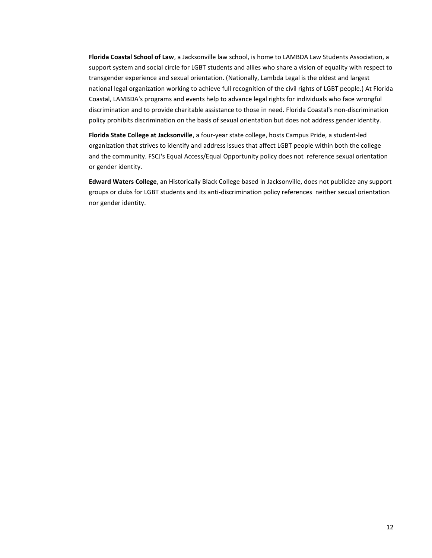**Florida Coastal School of Law**, a Jacksonville law school, is home to LAMBDA Law Students Association, a support system and social circle for LGBT students and allies who share a vision of equality with respect to transgender experience and sexual orientation. (Nationally, Lambda Legal is the oldest and largest national legal organization working to achieve full recognition of the civil rights of LGBT people.) At Florida Coastal, LAMBDA's programs and events help to advance legal rights for individuals who face wrongful discrimination and to provide charitable assistance to those in need. Florida Coastal's non-discrimination policy prohibits discrimination on the basis of sexual orientation but does not address gender identity.

**Florida State College at Jacksonville**, a four-year state college, hosts Campus Pride, a student-led organization that strives to identify and address issues that affect LGBT people within both the college and the community. FSCJ's Equal Access/Equal Opportunity policy does not reference sexual orientation or gender identity.

**Edward Waters College**, an Historically Black College based in Jacksonville, does not publicize any support groups or clubs for LGBT students and its anti-discrimination policy references neither sexual orientation nor gender identity.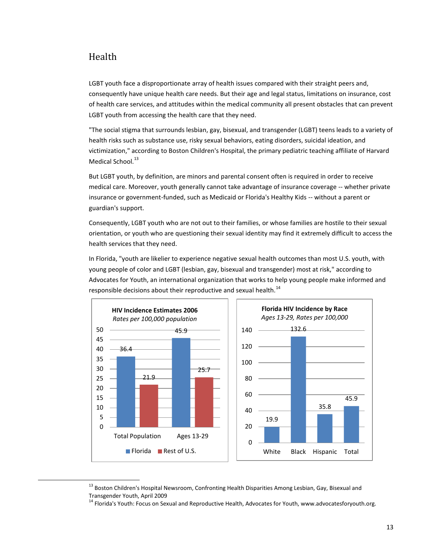# Health

 $\overline{a}$ 

LGBT youth face a disproportionate array of health issues compared with their straight peers and, consequently have unique health care needs. But their age and legal status, limitations on insurance, cost of health care services, and attitudes within the medical community all present obstacles that can prevent LGBT youth from accessing the health care that they need.

"The social stigma that surrounds lesbian, gay, bisexual, and transgender (LGBT) teens leads to a variety of health risks such as substance use, risky sexual behaviors, eating disorders, suicidal ideation, and victimization," according to Boston Children's Hospital, the primary pediatric teaching affiliate of Harvard Medical School.<sup>13</sup>

But LGBT youth, by definition, are minors and parental consent often is required in order to receive medical care. Moreover, youth generally cannot take advantage of insurance coverage -- whether private insurance or government-funded, such as Medicaid or Florida's Healthy Kids -- without a parent or guardian's support.

Consequently, LGBT youth who are not out to their families, or whose families are hostile to their sexual orientation, or youth who are questioning their sexual identity may find it extremely difficult to access the health services that they need.

In Florida, "youth are likelier to experience negative sexual health outcomes than most U.S. youth, with young people of color and LGBT (lesbian, gay, bisexual and transgender) most at risk," according to Advocates for Youth, an international organization that works to help young people make informed and responsible decisions about their reproductive and sexual health.<sup>14</sup>



<sup>&</sup>lt;sup>13</sup> Boston Children's Hospital Newsroom, Confronting Health Disparities Among Lesbian, Gay, Bisexual and Transgender Youth, April 2009

<sup>&</sup>lt;sup>14</sup> Florida's Youth: Focus on Sexual and Reproductive Health, Advocates for Youth, www.advocatesforyouth.org.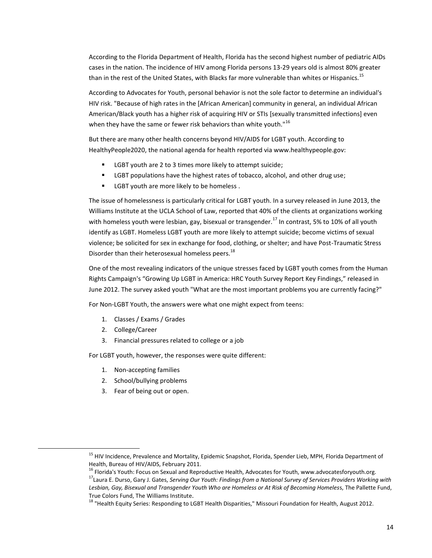According to the Florida Department of Health, Florida has the second highest number of pediatric AIDs cases in the nation. The incidence of HIV among Florida persons 13-29 years old is almost 80% greater than in the rest of the United States, with Blacks far more vulnerable than whites or Hispanics.<sup>15</sup>

According to Advocates for Youth, personal behavior is not the sole factor to determine an individual's HIV risk. "Because of high rates in the [African American] community in general, an individual African American/Black youth has a higher risk of acquiring HIV or STIs [sexually transmitted infections] even when they have the same or fewer risk behaviors than white youth." $16$ 

But there are many other health concerns beyond HIV/AIDS for LGBT youth. According to HealthyPeople2020, the national agenda for health reported via www.healthypeople.gov:

- LGBT youth are 2 to 3 times more likely to attempt suicide;
- **EXECT** populations have the highest rates of tobacco, alcohol, and other drug use;
- LGBT youth are more likely to be homeless .

The issue of homelessness is particularly critical for LGBT youth. In a survey released in June 2013, the Williams Institute at the UCLA School of Law, reported that 40% of the clients at organizations working with homeless youth were lesbian, gay, bisexual or transgender.<sup>17</sup> In contrast, 5% to 10% of all youth identify as LGBT. Homeless LGBT youth are more likely to attempt suicide; become victims of sexual violence; be solicited for sex in exchange for food, clothing, or shelter; and have Post-Traumatic Stress Disorder than their heterosexual homeless peers.<sup>18</sup>

One of the most revealing indicators of the unique stresses faced by LGBT youth comes from the Human Rights Campaign's "Growing Up LGBT in America: HRC Youth Survey Report Key Findings," released in June 2012. The survey asked youth "What are the most important problems you are currently facing?"

For Non-LGBT Youth, the answers were what one might expect from teens:

- 1. Classes / Exams / Grades
- 2. College/Career

 $\overline{a}$ 

3. Financial pressures related to college or a job

For LGBT youth, however, the responses were quite different:

- 1. Non-accepting families
- 2. School/bullying problems
- 3. Fear of being out or open.

<sup>&</sup>lt;sup>15</sup> HIV Incidence, Prevalence and Mortality, Epidemic Snapshot, Florida, Spender Lieb, MPH, Florida Department of Health, Bureau of HIV/AIDS, February 2011.

<sup>&</sup>lt;sup>16</sup> Florida's Youth: Focus on Sexual and Reproductive Health, Advocates for Youth, www.advocatesforyouth.org.

<sup>17</sup>Laura E. Durso, Gary J. Gates, *Serving Our Youth: Findings from a National Survey of Services Providers Working with Lesbian, Gay, Bisexual and Transgender Youth Who are Homeless or At Risk of Becoming Homeles*s, The Pallette Fund, True Colors Fund, The Williams Institute.

<sup>&</sup>lt;sup>18</sup> "Health Equity Series: Responding to LGBT Health Disparities," Missouri Foundation for Health, August 2012.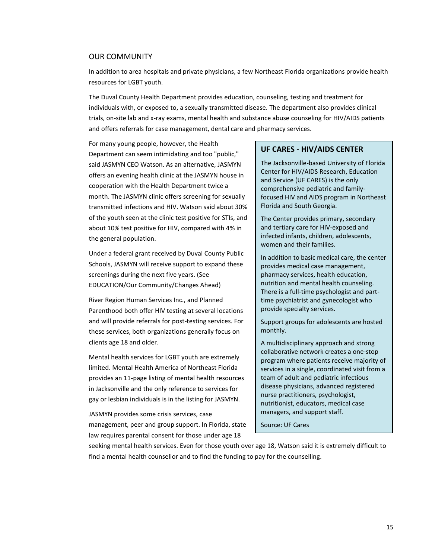## OUR COMMUNITY

In addition to area hospitals and private physicians, a few Northeast Florida organizations provide health resources for LGBT youth.

The Duval County Health Department provides education, counseling, testing and treatment for individuals with, or exposed to, a sexually transmitted disease. The department also provides clinical trials, on-site lab and x-ray exams, mental health and substance abuse counseling for HIV/AIDS patients and offers referrals for case management, dental care and pharmacy services.

For many young people, however, the Health Department can seem intimidating and too "public," said JASMYN CEO Watson. As an alternative, JASMYN offers an evening health clinic at the JASMYN house in cooperation with the Health Department twice a month. The JASMYN clinic offers screening for sexually transmitted infections and HIV. Watson said about 30% of the youth seen at the clinic test positive for STIs, and about 10% test positive for HIV, compared with 4% in the general population.

Under a federal grant received by Duval County Public Schools, JASMYN will receive support to expand these screenings during the next five years. (See EDUCATION/Our Community/Changes Ahead)

River Region Human Services Inc., and Planned Parenthood both offer HIV testing at several locations and will provide referrals for post-testing services. For these services, both organizations generally focus on clients age 18 and older.

Mental health services for LGBT youth are extremely limited. Mental Health America of Northeast Florida provides an 11-page listing of mental health resources in Jacksonville and the only reference to services for gay or lesbian individuals is in the listing for JASMYN.

JASMYN provides some crisis services, case management, peer and group support. In Florida, state law requires parental consent for those under age 18

## **UF CARES - HIV/AIDS CENTER**

The Jacksonville-based University of Florida Center for HIV/AIDS Research, Education and Service (UF CARES) is the only comprehensive pediatric and familyfocused HIV and AIDS program in Northeast Florida and South Georgia.

The Center provides primary, secondary and tertiary care for HIV-exposed and infected infants, children, adolescents, women and their families.

In addition to basic medical care, the center provides medical case management, pharmacy services, health education, nutrition and mental health counseling. There is a full-time psychologist and parttime psychiatrist and gynecologist who provide specialty services.

Support groups for adolescents are hosted monthly.

A multidisciplinary approach and strong collaborative network creates a one-stop program where patients receive majority of services in a single, coordinated visit from a team of adult and pediatric infectious disease physicians, advanced registered nurse practitioners, psychologist, nutritionist, educators, medical case managers, and support staff.

Source: UF Cares

seeking mental health services. Even for those youth over age 18, Watson said it is extremely difficult to find a mental health counsellor and to find the funding to pay for the counselling.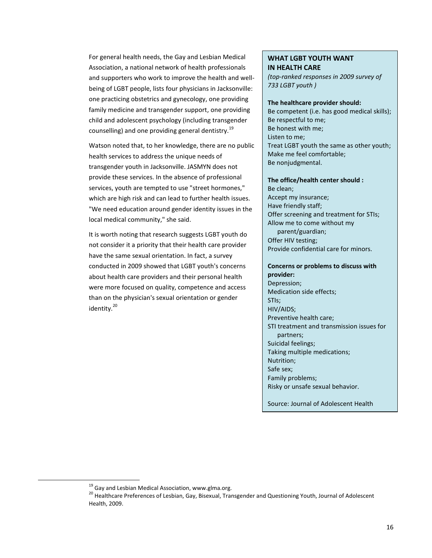For general health needs, the Gay and Lesbian Medical Association, a national network of health professionals and supporters who work to improve the health and wellbeing of LGBT people, lists four physicians in Jacksonville: one practicing obstetrics and gynecology, one providing family medicine and transgender support, one providing child and adolescent psychology (including transgender counselling) and one providing general dentistry.<sup>19</sup>

Watson noted that, to her knowledge, there are no public health services to address the unique needs of transgender youth in Jacksonville. JASMYN does not provide these services. In the absence of professional services, youth are tempted to use "street hormones," which are high risk and can lead to further health issues. "We need education around gender identity issues in the local medical community," she said.

It is worth noting that research suggests LGBT youth do not consider it a priority that their health care provider have the same sexual orientation. In fact, a survey conducted in 2009 showed that LGBT youth's concerns about health care providers and their personal health were more focused on quality, competence and access than on the physician's sexual orientation or gender identity.<sup>20</sup>

## **WHAT LGBT YOUTH WANT IN HEALTH CARE**

*(top-ranked responses in 2009 survey of 733 LGBT youth )*

## **The healthcare provider should:**

Be competent (i.e. has good medical skills); Be respectful to me; Be honest with me; Listen to me; Treat LGBT youth the same as other youth; Make me feel comfortable; Be nonjudgmental.

#### **The office/health center should :**

Be clean; Accept my insurance; Have friendly staff; Offer screening and treatment for STIs; Allow me to come without my parent/guardian; Offer HIV testing; Provide confidential care for minors.

## **Concerns or problems to discuss with provider:** Depression;

Medication side effects; STIs; HIV/AIDS; Preventive health care; STI treatment and transmission issues for partners; Suicidal feelings; Taking multiple medications; Nutrition; Safe sex; Family problems; Risky or unsafe sexual behavior.

Source: Journal of Adolescent Health

 $\overline{a}$ 

 $19$  Gay and Lesbian Medical Association, www.glma.org.

<sup>&</sup>lt;sup>20</sup> Healthcare Preferences of Lesbian, Gay, Bisexual, Transgender and Questioning Youth, Journal of Adolescent Health, 2009.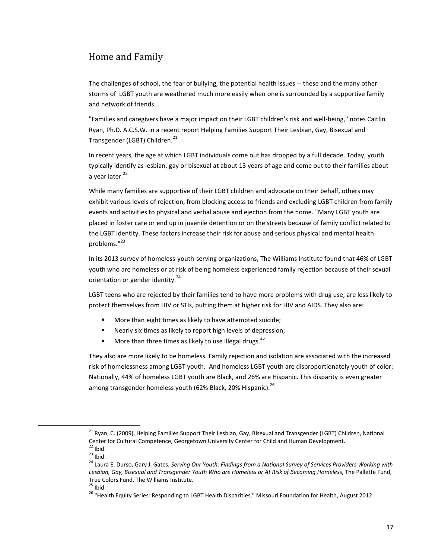# Home and Family

The challenges of school, the fear of bullying, the potential health issues -- these and the many other storms of LGBT youth are weathered much more easily when one is surrounded by a supportive family and network of friends.

"Families and caregivers have a major impact on their LGBT children's risk and well-being," notes Caitlin Ryan, Ph.D. A.C.S.W. in a recent report Helping Families Support Their Lesbian, Gay, Bisexual and Transgender (LGBT) Children.<sup>21</sup>

In recent years, the age at which LGBT individuals come out has dropped by a full decade. Today, youth typically identify as lesbian, gay or bisexual at about 13 years of age and come out to their families about a year later. $^{22}$ 

While many families are supportive of their LGBT children and advocate on their behalf, others may exhibit various levels of rejection, from blocking access to friends and excluding LGBT children from family events and activities to physical and verbal abuse and ejection from the home. "Many LGBT youth are placed in foster care or end up in juvenile detention or on the streets because of family conflict related to the LGBT identity. These factors increase their risk for abuse and serious physical and mental health problems."<sup>23</sup>

In its 2013 survey of homeless-youth-serving organizations, The Williams Institute found that 46% of LGBT youth who are homeless or at risk of being homeless experienced family rejection because of their sexual orientation or gender identity.<sup>24</sup>

LGBT teens who are rejected by their families tend to have more problems with drug use, are less likely to protect themselves from HIV or STIs, putting them at higher risk for HIV and AIDS. They also are:

- More than eight times as likely to have attempted suicide;
- Nearly six times as likely to report high levels of depression;
- More than three times as likely to use illegal drugs.<sup>25</sup>

They also are more likely to be homeless. Family rejection and isolation are associated with the increased risk of homelessness among LGBT youth. And homeless LGBT youth are disproportionately youth of color: Nationally, 44% of homeless LGBT youth are Black, and 26% are Hispanic. This disparity is even greater among transgender homeless youth (62% Black, 20% Hispanic).<sup>26</sup>

 $\overline{a}$ 

<sup>&</sup>lt;sup>21</sup> Ryan, C. (2009), Helping Families Support Their Lesbian, Gay, Bisexual and Transgender (LGBT) Children, National Center for Cultural Competence, Georgetown University Center for Child and Human Development.  $22$  Ibid.

 $23$  Ibid.

<sup>24</sup> Laura E. Durso, Gary J. Gates, *Serving Our Youth: Findings from a National Survey of Services Providers Working with Lesbian, Gay, Bisexual and Transgender Youth Who are Homeless or At Risk of Becoming Homeles*s, The Pallette Fund, True Colors Fund, The Williams Institute.

 $25$  Ibid.

<sup>26</sup> "Health Equity Series: Responding to LGBT Health Disparities," Missouri Foundation for Health, August 2012.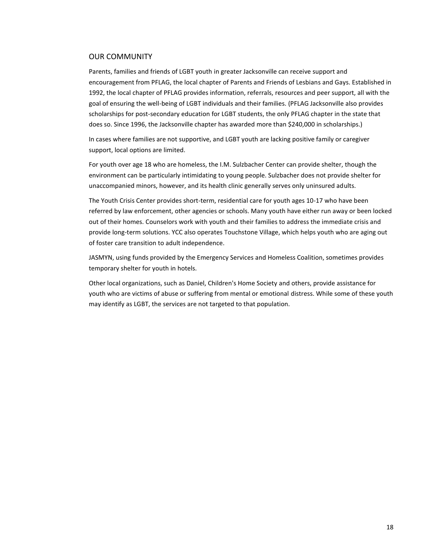## OUR COMMUNITY

Parents, families and friends of LGBT youth in greater Jacksonville can receive support and encouragement from PFLAG, the local chapter of Parents and Friends of Lesbians and Gays. Established in 1992, the local chapter of PFLAG provides information, referrals, resources and peer support, all with the goal of ensuring the well-being of LGBT individuals and their families. (PFLAG Jacksonville also provides scholarships for post-secondary education for LGBT students, the only PFLAG chapter in the state that does so. Since 1996, the Jacksonville chapter has awarded more than \$240,000 in scholarships.)

In cases where families are not supportive, and LGBT youth are lacking positive family or caregiver support, local options are limited.

For youth over age 18 who are homeless, the I.M. Sulzbacher Center can provide shelter, though the environment can be particularly intimidating to young people. Sulzbacher does not provide shelter for unaccompanied minors, however, and its health clinic generally serves only uninsured adults.

The Youth Crisis Center provides short-term, residential care for youth ages 10-17 who have been referred by law enforcement, other agencies or schools. Many youth have either run away or been locked out of their homes. Counselors work with youth and their families to address the immediate crisis and provide long-term solutions. YCC also operates Touchstone Village, which helps youth who are aging out of foster care transition to adult independence.

JASMYN, using funds provided by the Emergency Services and Homeless Coalition, sometimes provides temporary shelter for youth in hotels.

Other local organizations, such as Daniel, Children's Home Society and others, provide assistance for youth who are victims of abuse or suffering from mental or emotional distress. While some of these youth may identify as LGBT, the services are not targeted to that population.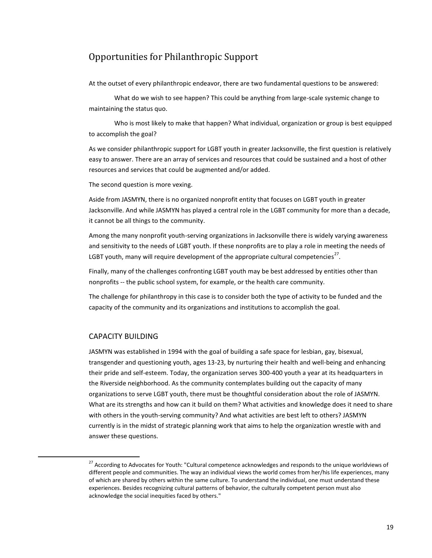# Opportunities for Philanthropic Support

At the outset of every philanthropic endeavor, there are two fundamental questions to be answered:

What do we wish to see happen? This could be anything from large-scale systemic change to maintaining the status quo.

Who is most likely to make that happen? What individual, organization or group is best equipped to accomplish the goal?

As we consider philanthropic support for LGBT youth in greater Jacksonville, the first question is relatively easy to answer. There are an array of services and resources that could be sustained and a host of other resources and services that could be augmented and/or added.

The second question is more vexing.

Aside from JASMYN, there is no organized nonprofit entity that focuses on LGBT youth in greater Jacksonville. And while JASMYN has played a central role in the LGBT community for more than a decade, it cannot be all things to the community.

Among the many nonprofit youth-serving organizations in Jacksonville there is widely varying awareness and sensitivity to the needs of LGBT youth. If these nonprofits are to play a role in meeting the needs of LGBT youth, many will require development of the appropriate cultural competencies<sup>27</sup>.

Finally, many of the challenges confronting LGBT youth may be best addressed by entities other than nonprofits -- the public school system, for example, or the health care community.

The challenge for philanthropy in this case is to consider both the type of activity to be funded and the capacity of the community and its organizations and institutions to accomplish the goal.

## CAPACITY BUILDING

 $\overline{a}$ 

JASMYN was established in 1994 with the goal of building a safe space for lesbian, gay, bisexual, transgender and questioning youth, ages 13-23, by nurturing their health and well-being and enhancing their pride and self-esteem. Today, the organization serves 300-400 youth a year at its headquarters in the Riverside neighborhood. As the community contemplates building out the capacity of many organizations to serve LGBT youth, there must be thoughtful consideration about the role of JASMYN. What are its strengths and how can it build on them? What activities and knowledge does it need to share with others in the youth-serving community? And what activities are best left to others? JASMYN currently is in the midst of strategic planning work that aims to help the organization wrestle with and answer these questions.

<sup>&</sup>lt;sup>27</sup> According to Advocates for Youth: "Cultural competence acknowledges and responds to the unique worldviews of different people and communities. The way an individual views the world comes from her/his life experiences, many of which are shared by others within the same culture. To understand the individual, one must understand these experiences. Besides recognizing cultural patterns of behavior, the culturally competent person must also acknowledge the social inequities faced by others."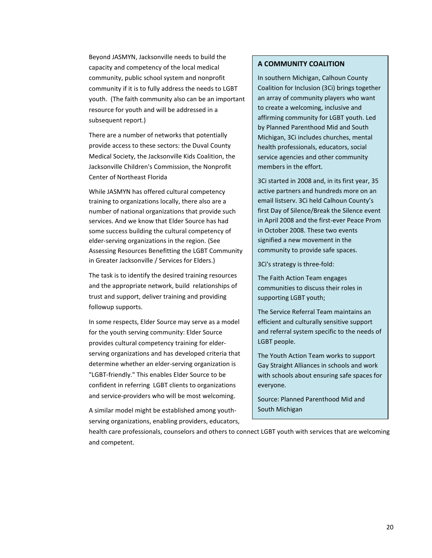Beyond JASMYN, Jacksonville needs to build the capacity and competency of the local medical community, public school system and nonprofit community if it is to fully address the needs to LGBT youth. (The faith community also can be an important resource for youth and will be addressed in a subsequent report.)

There are a number of networks that potentially provide access to these sectors: the Duval County Medical Society, the Jacksonville Kids Coalition, the Jacksonville Children's Commission, the Nonprofit Center of Northeast Florida

While JASMYN has offered cultural competency training to organizations locally, there also are a number of national organizations that provide such services. And we know that Elder Source has had some success building the cultural competency of elder-serving organizations in the region. (See Assessing Resources Benefitting the LGBT Community in Greater Jacksonville / Services for Elders.)

The task is to identify the desired training resources and the appropriate network, build relationships of trust and support, deliver training and providing followup supports.

In some respects, Elder Source may serve as a model for the youth serving community: Elder Source provides cultural competency training for elderserving organizations and has developed criteria that determine whether an elder-serving organization is "LGBT-friendly." This enables Elder Source to be confident in referring LGBT clients to organizations and service-providers who will be most welcoming.

A similar model might be established among youthserving organizations, enabling providers, educators,

## **A COMMUNITY COALITION**

In southern Michigan[, Calhoun County](http://www.ppscm3ci.org/)  [Coalition for Inclusion \(3Ci\)](http://www.ppscm3ci.org/) brings together an array of community players who want to create a welcoming, inclusive and affirming community for LGBT youth. Led by Planned Parenthood Mid and South Michigan, 3Ci includes churches, mental health professionals, educators, social service agencies and other community members in the effort.

3Ci started in 2008 and, in its first year, 35 active partners and hundreds more on an email listserv. 3Ci held Calhoun County's first Day of Silence/Break the Silence event in April 2008 and the first-ever Peace Prom in October 2008. These two events signified a new movement in the community to provide safe spaces.

3Ci's strategy is three-fold:

The Faith Action Team engages communities to discuss their roles in supporting LGBT youth;

The Service Referral Team maintains an efficient and culturally sensitive support and referral system specific to the needs of LGBT people.

The Youth Action Team works to support Gay Straight Alliances in schools and work with schools about ensuring safe spaces for everyone.

Source: Planned Parenthood Mid and South Michigan

health care professionals, counselors and others to connect LGBT youth with services that are welcoming and competent.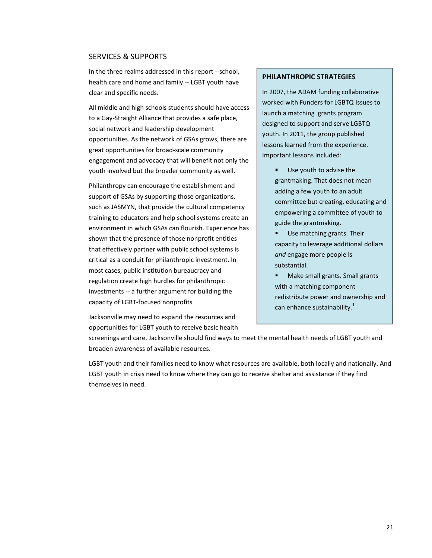## SERVICES & SUPPORTS

In the three realms addressed in this report --school, health care and home and family -- LGBT youth have clear and specific needs.

All middle and high schools students should have access to a Gay-Straight Alliance that provides a safe place, social network and leadership development opportunities. As the network of GSAs grows, there are great opportunities for broad-scale community engagement and advocacy that will benefit not only the youth involved but the broader community as well.

Philanthropy can encourage the establishment and support of GSAs by supporting those organizations, such as JASMYN, that provide the cultural competency training to educators and help school systems create an environment in which GSAs can flourish. Experience has shown that the presence of those nonprofit entities that effectively partner with public school systems is critical as a conduit for philanthropic investment. In most cases, public institution bureaucracy and regulation create high hurdles for philanthropic investments -- a further argument for building the capacity of LGBT-focused nonprofits

Jacksonville may need to expand the resources and opportunities for LGBT youth to receive basic health

#### **PHILANTHROPIC STRATEGIES**

In 2007, the ADAM funding collaborative worked with Funders for LGBTQ Issues to launch a matching grants program designed to support and serve LGBTQ youth. In 2011, the group published lessons learned from the experience. Important lessons included:

- Use youth to advise the grantmaking. That does not mean adding a few youth to an adult committee but creating, educating and empowering a committee of youth to guide the grantmaking.
- Use matching grants. Their capacity to leverage additional dollars *and* engage more people is substantial.
- Make small grants. Small grants with a matching component redistribute power and ownership and can enhance sustainability. $1$

screenings and care. Jacksonville should find ways to meet the mental health needs of LGBT youth and broaden awareness of available resources.

LGBT youth and their families need to know what resources are available, both locally and nationally. And LGBT youth in crisis need to know where they can go to receive shelter and assistance if they find themselves in need.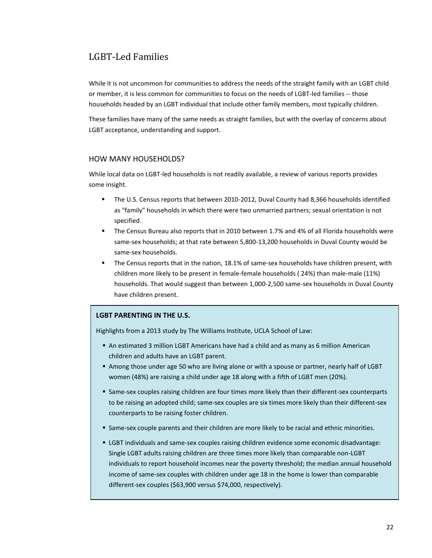# LGBT-Led Families

While it is not uncommon for communities to address the needs of the straight family with an LGBT child or member, it is less common for communities to focus on the needs of LGBT-led families -- those households headed by an LGBT individual that include other family members, most typically children.

These families have many of the same needs as straight families, but with the overlay of concerns about LGBT acceptance, understanding and support.

## HOW MANY HOUSEHOLDS?

While local data on LGBT-led households is not readily available, a review of various reports provides some insight.

- The U.S. Census reports that between 2010-2012, Duval County had 8,366 households identified as "family" households in which there were two unmarried partners; sexual orientation is not specified.
- The Census Bureau also reports that in 2010 between 1.7% and 4% of all Florida households were same-sex households; at that rate between 5,800-13,200 households in Duval County would be same-sex households.
- The Census reports that in the nation, 18.1% of same-sex households have children present, with children more likely to be present in female-female households ( 24%) than male-male (11%) households. That would suggest than between 1,000-2,500 same-sex households in Duval County have children present.

## **LGBT PARENTING IN THE U.S.**

Highlights from a 2013 study by The Williams Institute, UCLA School of Law:

- An estimated 3 million LGBT Americans have had a child and as many as 6 million American children and adults have an LGBT parent.
- Among those under age 50 who are living alone or with a spouse or partner, nearly half of LGBT women (48%) are raising a child under age 18 along with a fifth of LGBT men (20%).
- Same-sex couples raising children are four times more likely than their different-sex counterparts to be raising an adopted child; same-sex couples are six times more likely than their different-sex counterparts to be raising foster children.
- Same-sex couple parents and their children are more likely to be racial and ethnic minorities.
- LGBT individuals and same-sex couples raising children evidence some economic disadvantage: Single LGBT adults raising children are three times more likely than comparable non-LGBT individuals to report household incomes near the poverty threshold; the median annual household income of same-sex couples with children under age 18 in the home is lower than comparable different-sex couples (\$63,900 versus \$74,000, respectively).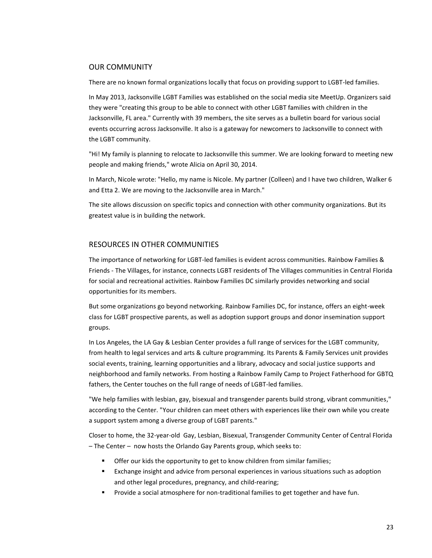### OUR COMMUNITY

There are no known formal organizations locally that focus on providing support to LGBT-led families.

In May 2013, Jacksonville LGBT Families was established on the social media site MeetUp. Organizers said they were "creating this group to be able to connect with other LGBT families with children in the Jacksonville, FL area." Currently with 39 members, the site serves as a bulletin board for various social events occurring across Jacksonville. It also is a gateway for newcomers to Jacksonville to connect with the LGBT community.

"Hi! My family is planning to relocate to Jacksonville this summer. We are looking forward to meeting new people and making friends," wrote Alicia on April 30, 2014.

In March, Nicole wrote: "Hello, my name is Nicole. My partner (Colleen) and I have two children, Walker 6 and Etta 2. We are moving to the Jacksonville area in March."

The site allows discussion on specific topics and connection with other community organizations. But its greatest value is in building the network.

## RESOURCES IN OTHER COMMUNITIES

The importance of networking for LGBT-led families is evident across communities. Rainbow Families & Friends - The Villages, for instance, connects LGBT residents of The Villages communities in Central Florida for social and recreational activities. Rainbow Families DC similarly provides networking and social opportunities for its members.

But some organizations go beyond networking. Rainbow Families DC, for instance, offers an eight-week class for LGBT prospective parents, as well as adoption support groups and donor insemination support groups.

In Los Angeles, the LA Gay & Lesbian Center provides a full range of services for the LGBT community, from health to legal services and arts & culture programming. Its Parents & Family Services unit provides social events, training, learning opportunities and a library, advocacy and social justice supports and neighborhood and family networks. From hosting a Rainbow Family Camp to Project Fatherhood for GBTQ fathers, the Center touches on the full range of needs of LGBT-led families.

"We help families with lesbian, gay, bisexual and transgender parents build strong, vibrant communities," according to the Center. "Your children can meet others with experiences like their own while you create a support system among a diverse group of LGBT parents."

Closer to home, the 32-year-old Gay, Lesbian, Bisexual, Transgender Community Center of Central Florida – The Center – now hosts the Orlando Gay Parents group, which seeks to:

- **•** Offer our kids the opportunity to get to know children from similar families;
- Exchange insight and advice from personal experiences in various situations such as adoption and other legal procedures, pregnancy, and child-rearing;
- Provide a social atmosphere for non-traditional families to get together and have fun.